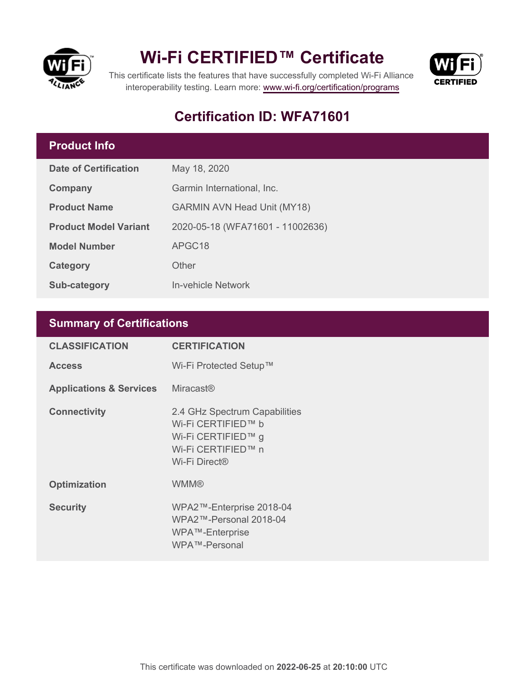

### **Wi-Fi CERTIFIED™ Certificate**



This certificate lists the features that have successfully completed Wi-Fi Alliance interoperability testing. Learn more:<www.wi-fi.org/certification/programs>

### **Certification ID: WFA71601**

#### **Product Info**

| <b>Date of Certification</b> | May 18, 2020                       |  |
|------------------------------|------------------------------------|--|
| Company                      | Garmin International, Inc.         |  |
| <b>Product Name</b>          | <b>GARMIN AVN Head Unit (MY18)</b> |  |
| <b>Product Model Variant</b> | 2020-05-18 (WFA71601 - 11002636)   |  |
| <b>Model Number</b>          | APGC18                             |  |
| Category                     | Other                              |  |
| Sub-category                 | In-vehicle Network                 |  |

#### **Summary of Certifications**

| <b>CLASSIFICATION</b>              | <b>CERTIFICATION</b>                                                                                             |
|------------------------------------|------------------------------------------------------------------------------------------------------------------|
| <b>Access</b>                      | Wi-Fi Protected Setup™                                                                                           |
| <b>Applications &amp; Services</b> | <b>Miracast<sup>®</sup></b>                                                                                      |
| <b>Connectivity</b>                | 2.4 GHz Spectrum Capabilities<br>Wi-Fi CERTIFIED™ b<br>Wi-Fi CERTIFIED™ g<br>Wi-Fi CERTIFIED™ n<br>Wi-Fi Direct® |
| <b>Optimization</b>                | <b>WMM®</b>                                                                                                      |
| <b>Security</b>                    | WPA2™-Enterprise 2018-04<br>WPA2™-Personal 2018-04<br>WPA™-Enterprise<br>WPA™-Personal                           |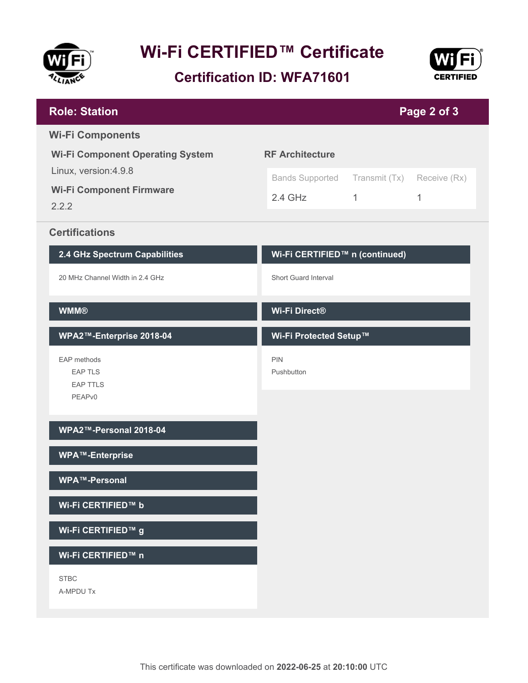

## **Wi-Fi CERTIFIED™ Certificate**

**Certification ID: WFA71601**



| <b>Role: Station</b>                                                                        | Page 2 of 3                                                                       |   |   |  |
|---------------------------------------------------------------------------------------------|-----------------------------------------------------------------------------------|---|---|--|
| <b>Wi-Fi Components</b><br><b>Wi-Fi Component Operating System</b><br>Linux, version: 4.9.8 | <b>RF Architecture</b><br><b>Bands Supported</b><br>Transmit (Tx)<br>Receive (Rx) |   |   |  |
| <b>Wi-Fi Component Firmware</b><br>2.2.2                                                    | $2.4$ GHz                                                                         | 1 | 1 |  |
| <b>Certifications</b>                                                                       |                                                                                   |   |   |  |
| 2.4 GHz Spectrum Capabilities                                                               | Wi-Fi CERTIFIED™ n (continued)                                                    |   |   |  |
| 20 MHz Channel Width in 2.4 GHz                                                             | Short Guard Interval                                                              |   |   |  |
| <b>WMM®</b>                                                                                 | Wi-Fi Direct®                                                                     |   |   |  |
| WPA2™-Enterprise 2018-04                                                                    | Wi-Fi Protected Setup™                                                            |   |   |  |
| EAP methods<br><b>EAP TLS</b><br><b>EAP TTLS</b><br>PEAPv0                                  | <b>PIN</b><br>Pushbutton                                                          |   |   |  |
| WPA2™-Personal 2018-04                                                                      |                                                                                   |   |   |  |
| <b>WPA™-Enterprise</b>                                                                      |                                                                                   |   |   |  |
| WPA™-Personal                                                                               |                                                                                   |   |   |  |
| Wi-Fi CERTIFIED™ b                                                                          |                                                                                   |   |   |  |
| Wi-Fi CERTIFIED™ g                                                                          |                                                                                   |   |   |  |
| Wi-Fi CERTIFIED™ n                                                                          |                                                                                   |   |   |  |
| <b>STBC</b><br>A-MPDU Tx                                                                    |                                                                                   |   |   |  |